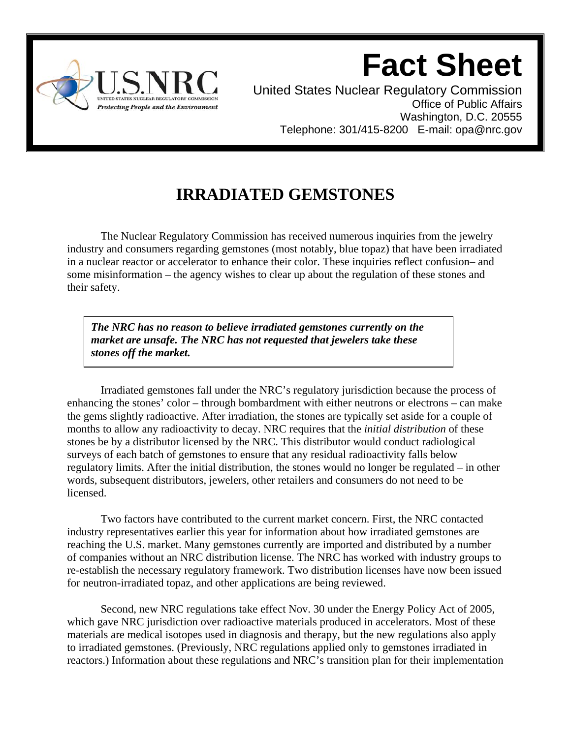

# **Fact Sheet** United States Nuclear Regulatory Commission

Office of Public Affairs Washington, D.C. 20555 Telephone: 301/415-8200 E-mail: opa@nrc.gov

# **IRRADIATED GEMSTONES**

 The Nuclear Regulatory Commission has received numerous inquiries from the jewelry industry and consumers regarding gemstones (most notably, blue topaz) that have been irradiated in a nuclear reactor or accelerator to enhance their color. These inquiries reflect confusion– and some misinformation – the agency wishes to clear up about the regulation of these stones and their safety.

*The NRC has no reason to believe irradiated gemstones currently on the market are unsafe. The NRC has not requested that jewelers take these stones off the market.* 

 Irradiated gemstones fall under the NRC's regulatory jurisdiction because the process of enhancing the stones' color – through bombardment with either neutrons or electrons – can make the gems slightly radioactive. After irradiation, the stones are typically set aside for a couple of months to allow any radioactivity to decay. NRC requires that the *initial distribution* of these stones be by a distributor licensed by the NRC. This distributor would conduct radiological surveys of each batch of gemstones to ensure that any residual radioactivity falls below regulatory limits. After the initial distribution, the stones would no longer be regulated – in other words, subsequent distributors, jewelers, other retailers and consumers do not need to be licensed.

 Two factors have contributed to the current market concern. First, the NRC contacted industry representatives earlier this year for information about how irradiated gemstones are reaching the U.S. market. Many gemstones currently are imported and distributed by a number of companies without an NRC distribution license. The NRC has worked with industry groups to re-establish the necessary regulatory framework. Two distribution licenses have now been issued for neutron-irradiated topaz, and other applications are being reviewed.

 Second, new NRC regulations take effect Nov. 30 under the Energy Policy Act of 2005, which gave NRC jurisdiction over radioactive materials produced in accelerators. Most of these materials are medical isotopes used in diagnosis and therapy, but the new regulations also apply to irradiated gemstones. (Previously, NRC regulations applied only to gemstones irradiated in reactors.) Information about these regulations and NRC's transition plan for their implementation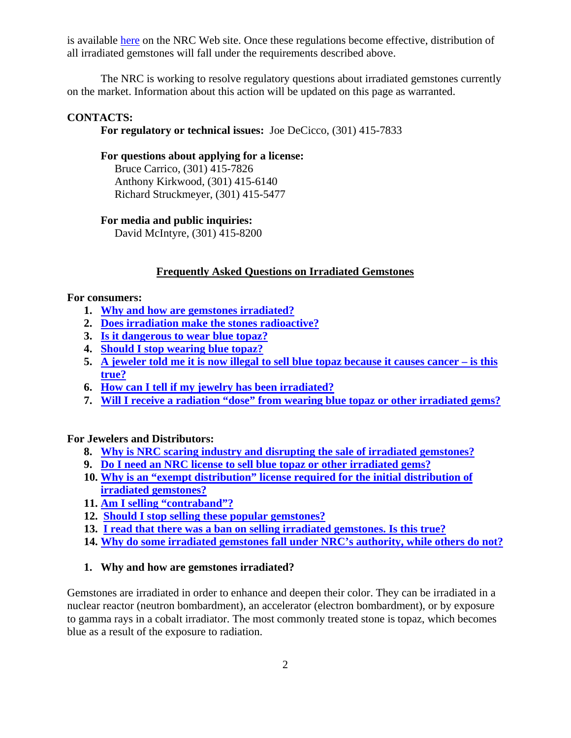<span id="page-1-0"></span>is available [here](http://nrc-stp.ornl.gov/narmtoolbox.html) on the NRC Web site. Once these regulations become effective, distribution of all irradiated gemstones will fall under the requirements described above.

 The NRC is working to resolve regulatory questions about irradiated gemstones currently on the market. Information about this action will be updated on this page as warranted.

### **CONTACTS:**

**For regulatory or technical issues:** Joe DeCicco, (301) 415-7833

#### **For questions about applying for a license:**

 Bruce Carrico, (301) 415-7826 Anthony Kirkwood, (301) 415-6140 Richard Struckmeyer, (301) 415-5477

### **For media and public inquiries:**

David McIntyre, (301) 415-8200

# **Frequently Asked Questions on Irradiated Gemstones**

#### **For consumers:**

- **1. [Why and how are gemstones irradiated?](#page-1-0)**
- **2. [Does irradiation make the stones radioactive?](#page-2-0)**
- **3. [Is it dangerous to wear blue topaz?](#page-2-0)**
- **4. [Should I stop wearing blue topaz?](#page-2-0)**
- **5. [A jeweler told me it is now illegal to sell blue topaz because it causes cancer is this](#page-2-0)  [true?](#page-2-0)**
- **6. [How can I tell if my jewelry has been irradiated?](#page-2-0)**
- **7. [Will I receive a radiation "dose" from wearing blue topaz or other irradiated gems?](#page-2-0)**

### **For Jewelers and Distributors:**

- **8. [Why is NRC scaring industry and disrupting the sale of irradiated gemstones?](#page-2-0)**
- **9. [Do I need an NRC license to sell blue topaz or other irradiated gems?](#page-3-0)**
- **10. [Why is an "exempt distribution" license required for the initial distribution of](#page-3-0)  [irradiated gemstones?](#page-3-0)**
- **11. [Am I selling "contraband"?](#page-3-0)**
- **12. [Should I stop selling these popular gemstones?](#page-3-0)**
- **13. [I read that there was a ban on selling irradiated gemstones. Is this true?](#page-3-0)**
- **14. [Why do some irradiated gemstones fall under NRC's authority, while others do not?](#page-3-0)**

### **1. Why and how are gemstones irradiated?**

Gemstones are irradiated in order to enhance and deepen their color. They can be irradiated in a nuclear reactor (neutron bombardment), an accelerator (electron bombardment), or by exposure to gamma rays in a cobalt irradiator. The most commonly treated stone is topaz, which becomes blue as a result of the exposure to radiation.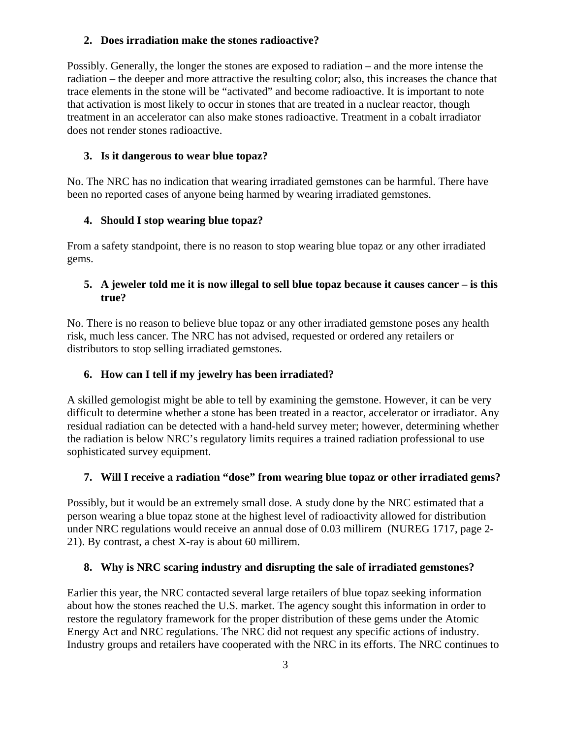# **2. Does irradiation make the stones radioactive?**

<span id="page-2-0"></span>Possibly. Generally, the longer the stones are exposed to radiation – and the more intense the radiation – the deeper and more attractive the resulting color; also, this increases the chance that trace elements in the stone will be "activated" and become radioactive. It is important to note that activation is most likely to occur in stones that are treated in a nuclear reactor, though treatment in an accelerator can also make stones radioactive. Treatment in a cobalt irradiator does not render stones radioactive.

# **3. Is it dangerous to wear blue topaz?**

No. The NRC has no indication that wearing irradiated gemstones can be harmful. There have been no reported cases of anyone being harmed by wearing irradiated gemstones.

# **4. Should I stop wearing blue topaz?**

From a safety standpoint, there is no reason to stop wearing blue topaz or any other irradiated gems.

# **5. A jeweler told me it is now illegal to sell blue topaz because it causes cancer – is this true?**

No. There is no reason to believe blue topaz or any other irradiated gemstone poses any health risk, much less cancer. The NRC has not advised, requested or ordered any retailers or distributors to stop selling irradiated gemstones.

# **6. How can I tell if my jewelry has been irradiated?**

A skilled gemologist might be able to tell by examining the gemstone. However, it can be very difficult to determine whether a stone has been treated in a reactor, accelerator or irradiator. Any residual radiation can be detected with a hand-held survey meter; however, determining whether the radiation is below NRC's regulatory limits requires a trained radiation professional to use sophisticated survey equipment.

# **7. Will I receive a radiation "dose" from wearing blue topaz or other irradiated gems?**

Possibly, but it would be an extremely small dose. A study done by the NRC estimated that a person wearing a blue topaz stone at the highest level of radioactivity allowed for distribution under NRC regulations would receive an annual dose of 0.03 millirem (NUREG 1717, page 2- 21). By contrast, a chest X-ray is about 60 millirem.

# **8. Why is NRC scaring industry and disrupting the sale of irradiated gemstones?**

Earlier this year, the NRC contacted several large retailers of blue topaz seeking information about how the stones reached the U.S. market. The agency sought this information in order to restore the regulatory framework for the proper distribution of these gems under the Atomic Energy Act and NRC regulations. The NRC did not request any specific actions of industry. Industry groups and retailers have cooperated with the NRC in its efforts. The NRC continues to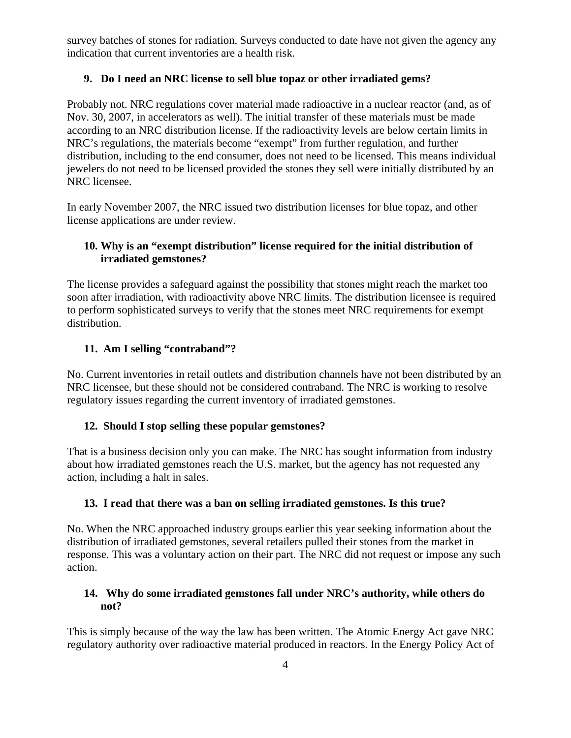<span id="page-3-0"></span>survey batches of stones for radiation. Surveys conducted to date have not given the agency any indication that current inventories are a health risk.

## **9. Do I need an NRC license to sell blue topaz or other irradiated gems?**

Probably not. NRC regulations cover material made radioactive in a nuclear reactor (and, as of Nov. 30, 2007, in accelerators as well). The initial transfer of these materials must be made according to an NRC distribution license. If the radioactivity levels are below certain limits in NRC's regulations, the materials become "exempt" from further regulation, and further distribution, including to the end consumer, does not need to be licensed. This means individual jewelers do not need to be licensed provided the stones they sell were initially distributed by an NRC licensee.

In early November 2007, the NRC issued two distribution licenses for blue topaz, and other license applications are under review.

# **10. Why is an "exempt distribution" license required for the initial distribution of irradiated gemstones?**

The license provides a safeguard against the possibility that stones might reach the market too soon after irradiation, with radioactivity above NRC limits. The distribution licensee is required to perform sophisticated surveys to verify that the stones meet NRC requirements for exempt distribution.

# **11. Am I selling "contraband"?**

No. Current inventories in retail outlets and distribution channels have not been distributed by an NRC licensee, but these should not be considered contraband. The NRC is working to resolve regulatory issues regarding the current inventory of irradiated gemstones.

### **12. Should I stop selling these popular gemstones?**

That is a business decision only you can make. The NRC has sought information from industry about how irradiated gemstones reach the U.S. market, but the agency has not requested any action, including a halt in sales.

### **13. I read that there was a ban on selling irradiated gemstones. Is this true?**

No. When the NRC approached industry groups earlier this year seeking information about the distribution of irradiated gemstones, several retailers pulled their stones from the market in response. This was a voluntary action on their part. The NRC did not request or impose any such action.

### **14. Why do some irradiated gemstones fall under NRC's authority, while others do not?**

This is simply because of the way the law has been written. The Atomic Energy Act gave NRC regulatory authority over radioactive material produced in reactors. In the Energy Policy Act of